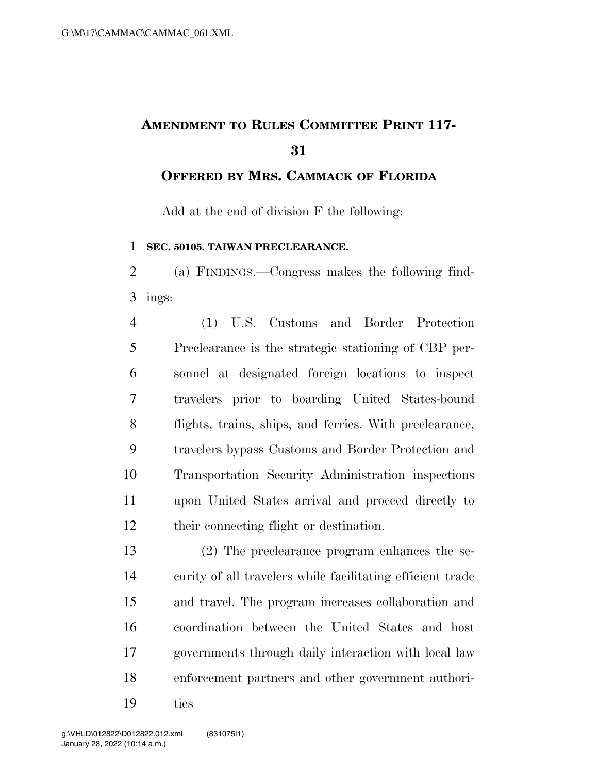## **AMENDMENT TO RULES COMMITTEE PRINT 117-**

**OFFERED BY MRS. CAMMACK OF FLORIDA**

Add at the end of division F the following:

**SEC. 50105. TAIWAN PRECLEARANCE.** 

 (a) FINDINGS.—Congress makes the following find-ings:

 (1) U.S. Customs and Border Protection Preclearance is the strategic stationing of CBP per- sonnel at designated foreign locations to inspect travelers prior to boarding United States-bound flights, trains, ships, and ferries. With preclearance, travelers bypass Customs and Border Protection and Transportation Security Administration inspections upon United States arrival and proceed directly to their connecting flight or destination.

 (2) The preclearance program enhances the se- curity of all travelers while facilitating efficient trade and travel. The program increases collaboration and coordination between the United States and host governments through daily interaction with local law enforcement partners and other government authori-

ties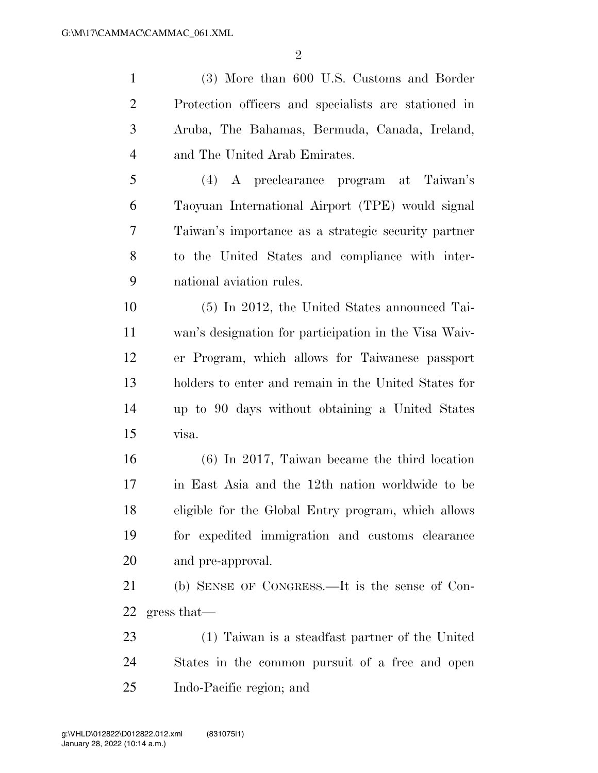$\mathfrak{D}$ 

 (3) More than 600 U.S. Customs and Border Protection officers and specialists are stationed in Aruba, The Bahamas, Bermuda, Canada, Ireland, and The United Arab Emirates.

 (4) A preclearance program at Taiwan's Taoyuan International Airport (TPE) would signal Taiwan's importance as a strategic security partner to the United States and compliance with inter-national aviation rules.

 (5) In 2012, the United States announced Tai- wan's designation for participation in the Visa Waiv- er Program, which allows for Taiwanese passport holders to enter and remain in the United States for up to 90 days without obtaining a United States visa.

 (6) In 2017, Taiwan became the third location in East Asia and the 12th nation worldwide to be eligible for the Global Entry program, which allows for expedited immigration and customs clearance and pre-approval.

 (b) SENSE OF CONGRESS.—It is the sense of Con-gress that—

 (1) Taiwan is a steadfast partner of the United States in the common pursuit of a free and open Indo-Pacific region; and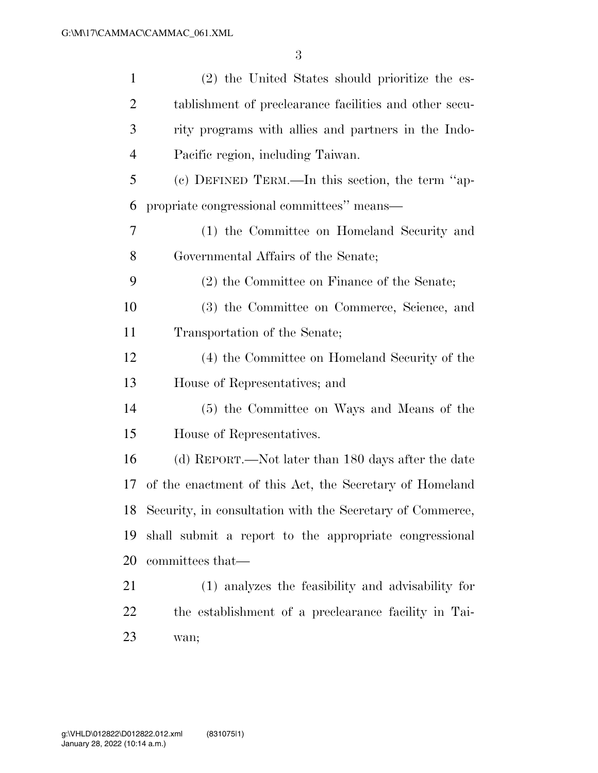| $\mathbf{1}$   | (2) the United States should prioritize the es-              |
|----------------|--------------------------------------------------------------|
| $\overline{2}$ | tablishment of preclearance facilities and other secu-       |
| 3              | rity programs with allies and partners in the Indo-          |
| $\overline{4}$ | Pacific region, including Taiwan.                            |
| 5              | (c) DEFINED TERM.—In this section, the term "ap-             |
| 6              | propriate congressional committees" means—                   |
| 7              | (1) the Committee on Homeland Security and                   |
| 8              | Governmental Affairs of the Senate;                          |
| 9              | (2) the Committee on Finance of the Senate;                  |
| 10             | (3) the Committee on Commerce, Science, and                  |
| 11             | Transportation of the Senate;                                |
| 12             | (4) the Committee on Homeland Security of the                |
| 13             | House of Representatives; and                                |
| 14             | (5) the Committee on Ways and Means of the                   |
| 15             | House of Representatives.                                    |
| 16             | (d) REPORT.—Not later than 180 days after the date           |
| 17             | of the enactment of this Act, the Secretary of Homeland      |
|                | 18 Security, in consultation with the Secretary of Commerce, |
| 19             | shall submit a report to the appropriate congressional       |
| 20             | committees that—                                             |
| 21             | (1) analyzes the feasibility and advisability for            |
| 22             | the establishment of a preclearance facility in Tai-         |
| 23             | wan;                                                         |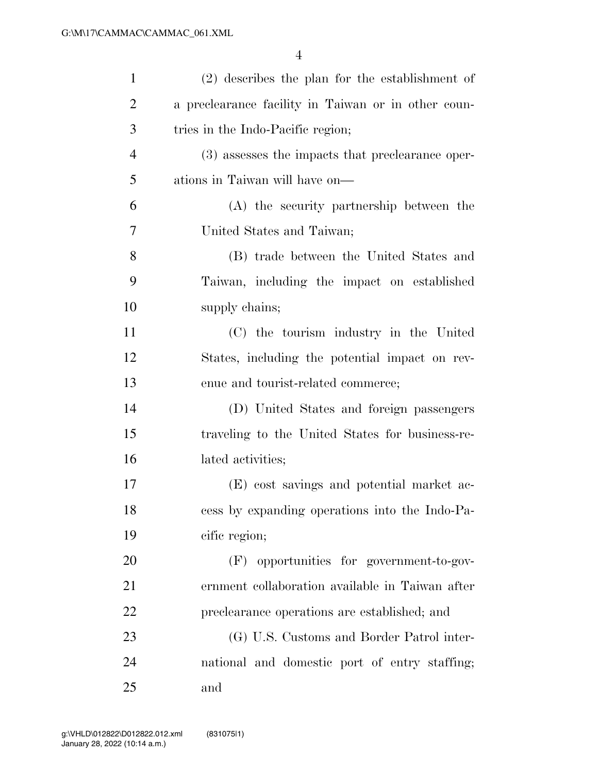| $\mathbf{1}$   | $(2)$ describes the plan for the establishment of   |
|----------------|-----------------------------------------------------|
| $\overline{2}$ | a preclearance facility in Taiwan or in other coun- |
| 3              | tries in the Indo-Pacific region;                   |
| $\overline{4}$ | (3) assesses the impacts that preclearance oper-    |
| 5              | ations in Taiwan will have on—                      |
| 6              | (A) the security partnership between the            |
| 7              | United States and Taiwan;                           |
| 8              | (B) trade between the United States and             |
| 9              | Taiwan, including the impact on established         |
| 10             | supply chains;                                      |
| 11             | (C) the tourism industry in the United              |
| 12             | States, including the potential impact on rev-      |
| 13             | enue and tourist-related commerce;                  |
| 14             | (D) United States and foreign passengers            |
| 15             | traveling to the United States for business-re-     |
| 16             | lated activities;                                   |
| 17             | (E) cost savings and potential market ac-           |
| 18             | cess by expanding operations into the Indo-Pa-      |
| 19             | cific region;                                       |
| 20             | (F) opportunities for government-to-gov-            |
| 21             | ernment collaboration available in Taiwan after     |
| 22             | preclearance operations are established; and        |
| 23             | (G) U.S. Customs and Border Patrol inter-           |
| 24             | national and domestic port of entry staffing;       |
| 25             | and                                                 |